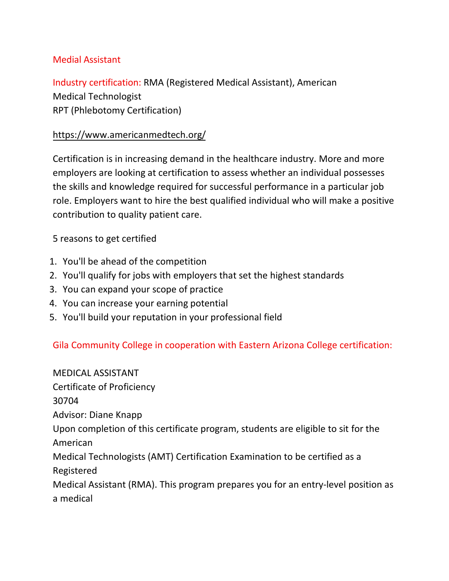## Medial Assistant

Industry certification: RMA (Registered Medical Assistant), American Medical Technologist RPT (Phlebotomy Certification)

## <https://www.americanmedtech.org/>

Certification is in increasing demand in the healthcare industry. More and more employers are looking at certification to assess whether an individual possesses the skills and knowledge required for successful performance in a particular job role. Employers want to hire the best qualified individual who will make a positive contribution to quality patient care.

5 reasons to get certified

- 1. You'll be ahead of the competition
- 2. You'll qualify for jobs with employers that set the highest standards
- 3. You can expand your scope of practice
- 4. You can increase your earning potential
- 5. You'll build your reputation in your professional field

## Gila Community College in cooperation with Eastern Arizona College certification:

MEDICAL ASSISTANT Certificate of Proficiency 30704 Advisor: Diane Knapp Upon completion of this certificate program, students are eligible to sit for the American Medical Technologists (AMT) Certification Examination to be certified as a Registered Medical Assistant (RMA). This program prepares you for an entry-level position as a medical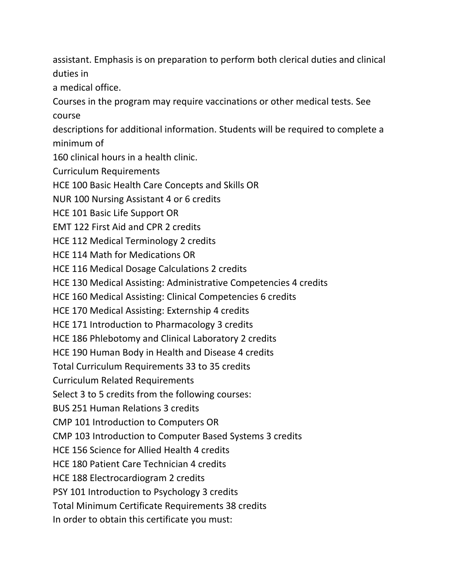assistant. Emphasis is on preparation to perform both clerical duties and clinical duties in

a medical office.

Courses in the program may require vaccinations or other medical tests. See course

descriptions for additional information. Students will be required to complete a minimum of

160 clinical hours in a health clinic.

Curriculum Requirements

HCE 100 Basic Health Care Concepts and Skills OR

NUR 100 Nursing Assistant 4 or 6 credits

HCE 101 Basic Life Support OR

EMT 122 First Aid and CPR 2 credits

HCE 112 Medical Terminology 2 credits

HCE 114 Math for Medications OR

HCE 116 Medical Dosage Calculations 2 credits

HCE 130 Medical Assisting: Administrative Competencies 4 credits

HCE 160 Medical Assisting: Clinical Competencies 6 credits

HCE 170 Medical Assisting: Externship 4 credits

HCE 171 Introduction to Pharmacology 3 credits

HCE 186 Phlebotomy and Clinical Laboratory 2 credits

HCE 190 Human Body in Health and Disease 4 credits

Total Curriculum Requirements 33 to 35 credits

Curriculum Related Requirements

Select 3 to 5 credits from the following courses:

BUS 251 Human Relations 3 credits

CMP 101 Introduction to Computers OR

CMP 103 Introduction to Computer Based Systems 3 credits

HCE 156 Science for Allied Health 4 credits

HCE 180 Patient Care Technician 4 credits

HCE 188 Electrocardiogram 2 credits

PSY 101 Introduction to Psychology 3 credits

Total Minimum Certificate Requirements 38 credits

In order to obtain this certificate you must: